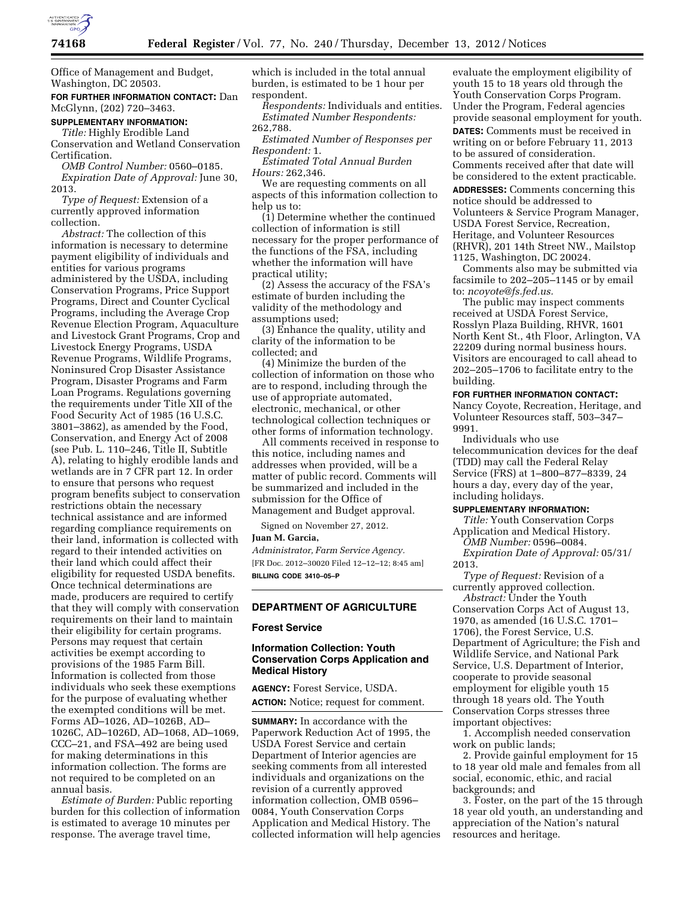

Office of Management and Budget, Washington, DC 20503.

# **FOR FURTHER INFORMATION CONTACT:** Dan McGlynn, (202) 720–3463.

#### **SUPPLEMENTARY INFORMATION:**

*Title:* Highly Erodible Land Conservation and Wetland Conservation Certification.

*OMB Control Number:* 0560–0185. *Expiration Date of Approval:* June 30, 2013.

*Type of Request:* Extension of a currently approved information collection.

*Abstract:* The collection of this information is necessary to determine payment eligibility of individuals and entities for various programs administered by the USDA, including Conservation Programs, Price Support Programs, Direct and Counter Cyclical Programs, including the Average Crop Revenue Election Program, Aquaculture and Livestock Grant Programs, Crop and Livestock Energy Programs, USDA Revenue Programs, Wildlife Programs, Noninsured Crop Disaster Assistance Program, Disaster Programs and Farm Loan Programs. Regulations governing the requirements under Title XII of the Food Security Act of 1985 (16 U.S.C. 3801–3862), as amended by the Food, Conservation, and Energy Act of 2008 (see Pub. L. 110–246, Title II, Subtitle A), relating to highly erodible lands and wetlands are in 7 CFR part 12. In order to ensure that persons who request program benefits subject to conservation restrictions obtain the necessary technical assistance and are informed regarding compliance requirements on their land, information is collected with regard to their intended activities on their land which could affect their eligibility for requested USDA benefits. Once technical determinations are made, producers are required to certify that they will comply with conservation requirements on their land to maintain their eligibility for certain programs. Persons may request that certain activities be exempt according to provisions of the 1985 Farm Bill. Information is collected from those individuals who seek these exemptions for the purpose of evaluating whether the exempted conditions will be met. Forms AD–1026, AD–1026B, AD– 1026C, AD–1026D, AD–1068, AD–1069, CCC–21, and FSA–492 are being used for making determinations in this information collection. The forms are not required to be completed on an annual basis.

*Estimate of Burden:* Public reporting burden for this collection of information is estimated to average 10 minutes per response. The average travel time,

which is included in the total annual burden, is estimated to be 1 hour per respondent.

*Respondents:* Individuals and entities. *Estimated Number Respondents:*  262,788.

*Estimated Number of Responses per Respondent:* 1.

*Estimated Total Annual Burden Hours:* 262,346.

We are requesting comments on all aspects of this information collection to help us to:

(1) Determine whether the continued collection of information is still necessary for the proper performance of the functions of the FSA, including whether the information will have practical utility;

(2) Assess the accuracy of the FSA's estimate of burden including the validity of the methodology and assumptions used;

(3) Enhance the quality, utility and clarity of the information to be collected; and

(4) Minimize the burden of the collection of information on those who are to respond, including through the use of appropriate automated, electronic, mechanical, or other technological collection techniques or other forms of information technology.

All comments received in response to this notice, including names and addresses when provided, will be a matter of public record. Comments will be summarized and included in the submission for the Office of Management and Budget approval.

Signed on November 27, 2012.

# **Juan M. Garcia,**

*Administrator, Farm Service Agency.*  [FR Doc. 2012–30020 Filed 12–12–12; 8:45 am] **BILLING CODE 3410–05–P** 

#### **DEPARTMENT OF AGRICULTURE**

## **Forest Service**

# **Information Collection: Youth Conservation Corps Application and Medical History**

**AGENCY:** Forest Service, USDA. **ACTION:** Notice; request for comment.

**SUMMARY:** In accordance with the Paperwork Reduction Act of 1995, the USDA Forest Service and certain Department of Interior agencies are seeking comments from all interested individuals and organizations on the revision of a currently approved information collection, OMB 0596– 0084, Youth Conservation Corps Application and Medical History. The collected information will help agencies

evaluate the employment eligibility of youth 15 to 18 years old through the Youth Conservation Corps Program. Under the Program, Federal agencies provide seasonal employment for youth. **DATES:** Comments must be received in writing on or before February 11, 2013 to be assured of consideration. Comments received after that date will be considered to the extent practicable.

**ADDRESSES:** Comments concerning this notice should be addressed to Volunteers & Service Program Manager, USDA Forest Service, Recreation, Heritage, and Volunteer Resources (RHVR), 201 14th Street NW., Mailstop 1125, Washington, DC 20024.

Comments also may be submitted via facsimile to 202–205–1145 or by email to: *[ncoyote@fs.fed.us.](mailto:ncoyote@fs.fed.us)* 

The public may inspect comments received at USDA Forest Service, Rosslyn Plaza Building, RHVR, 1601 North Kent St., 4th Floor, Arlington, VA 22209 during normal business hours. Visitors are encouraged to call ahead to 202–205–1706 to facilitate entry to the building.

#### **FOR FURTHER INFORMATION CONTACT:**

Nancy Coyote, Recreation, Heritage, and Volunteer Resources staff, 503–347– 9991.

Individuals who use telecommunication devices for the deaf (TDD) may call the Federal Relay Service (FRS) at 1–800–877–8339, 24 hours a day, every day of the year, including holidays.

#### **SUPPLEMENTARY INFORMATION:**

*Title:* Youth Conservation Corps Application and Medical History. *OMB Number:* 0596–0084. *Expiration Date of Approval:* 05/31/ 2013.

*Type of Request:* Revision of a currently approved collection. *Abstract:* Under the Youth Conservation Corps Act of August 13, 1970, as amended (16 U.S.C. 1701– 1706), the Forest Service, U.S. Department of Agriculture; the Fish and Wildlife Service, and National Park Service, U.S. Department of Interior, cooperate to provide seasonal employment for eligible youth 15 through 18 years old. The Youth Conservation Corps stresses three important objectives:

1. Accomplish needed conservation work on public lands;

2. Provide gainful employment for 15 to 18 year old male and females from all social, economic, ethic, and racial backgrounds; and

3. Foster, on the part of the 15 through 18 year old youth, an understanding and appreciation of the Nation's natural resources and heritage.